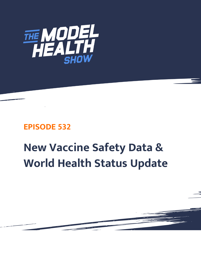

## **EPISODE 532**

## **New Vaccine Safety Data & World Health Status Update**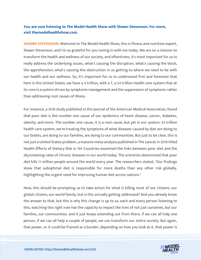## **You are now listening to The Model Health Show with Shawn Stevenson. For more, visit themodelhealthshow.com.**

**SHAWN STEVENSON:** Welcome to The Model Health Show, this is fitness and nutrition expert, Shawn Stevenson, and I'm so grateful for you tuning in with me today. We are on a mission to transform the health and wellness of our society, and oftentimes, it's most important for us to really address the underlying issues, what's causing the disruption, what's causing the block, the apprehension; what's causing the obstruction in us getting to where we need to be with our health and our wellness. So, it's important for us to understand first and foremost that here in the United States, we have a 4 trillion, with a T, a \$4 trillion health care system that at its core is a system driven by symptoms management and the suppression of symptoms rather than addressing root causes of illness.

For instance, a 2018 study published in the Journal of the American Medical Association, found that poor diet is the number one cause of our epidemics of heart disease, cancer, diabetes, obesity, and more. The number one cause, it is a root cause, but yet in our system, \$4 trillion health care system, we're treating the symptoms of what diseases caused by diet are doing to our bodies, are doing to our families, are doing to our communities. But just to be clear, this is not just a United States problem, a massive meta-analysis published in The Lancet in 2019 titled Health Effects of Dietary Risk in 195 Countries examined the links between poor diet and the skyrocketing rates of chronic diseases in our world today. The scientists determined that poor diet kills 11 million people around the world every year. The researchers stated, "Our findings show that suboptimal diet is responsible for more deaths than any other risk globally, highlighting the urgent need for improving human diet across nations."

Now, this should be prompting us to take action for what is killing most of our citizens, our global citizens, our world family, but is this actually getting addressed? And you already know the answer to that, but this is why this change is up to us, each and every person listening to this, watching this right now has the capacity to impact the lives of not just ourselves, but our families, our communities, and it just keeps extending out from there, if we can all help one person, if we can all help a couple of people, we can transform our entire society. But again, that power, or it could be framed as a burden, depending on how you look at it, that power is

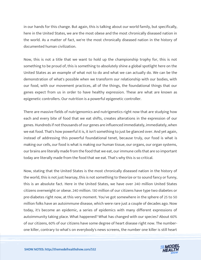in our hands for this change. But again, this is talking about our world family, but specifically, here in the United States, we are the most obese and the most chronically diseased nation in the world. As a matter of fact, we're the most chronically diseased nation in the history of documented human civilization.

Now, this is not a title that we want to hold up the championship trophy for, this is not something to be proud of, this is something to absolutely shine a global spotlight here on the United States as an example of what not to do and what we can actually do. We can be the demonstration of what's possible when we transform our relationship with our bodies, with our food, with our movement practices, all of the things, the foundational things that our genes expect from us in order to have healthy expression. These are what are known as epigenetic controllers. Our nutrition is a powerful epigenetic controller.

There are massive fields of nutrigenomics and nutrigenetics right now that are studying how each and every bite of food that we eat shifts, creates alterations in the expression of our genes. Hundreds if not thousands of our genes are influenced immediately, immediately, when we eat food. That's how powerful it is, it isn't something to just be glanced over. And yet again, instead of addressing this powerful foundational tenet, because truly, our food is what is making our cells, our food is what is making our human tissue, our organs, our organ systems, our brains are literally made from the food that we eat, our immune cells that are so important today are literally made from the food that we eat. That's why this is so critical.

Now, stating that the United States is the most chronically diseased nation in the history of the world, this is not just hearsay, this is not something to theorize or to sound fancy or funny, this is an absolute fact. Here in the United States, we have over 240 million United States citizens overweight or obese. 240 million. 130 million of our citizens have type two diabetes or pre-diabetes right now, at this very moment. You've got somewhere in the sphere of 25 to 50 million folks have an autoimmune disease, which were rare just a couple of decades ago. Now today, it's become an epidemic, a series of epidemics with many different expressions of autoimmunity taking place. What happened? What has changed with our species? About 60% of our citizens, 60% of our citizens have some degree of heart disease right now. The numberone killer, contrary to what's on everybody's news screens, the number one killer is still heart

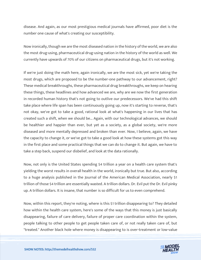disease. And again, as our most prestigious medical journals have affirmed, poor diet is the number one cause of what's creating our susceptibility.

Now ironically, though we are the most diseased nation in the history of the world, we are also the most drug-using, pharmaceutical drug-using nation in the history of the world as well. We currently have upwards of 70% of our citizens on pharmaceutical drugs, but it's not working.

If we're just doing the math here, again ironically, we are the most sick, yet we're taking the most drugs, which are proposed to be the number-one pathway to our advancement, right? These medical breakthroughs, these pharmaceutical drug breakthroughs, we keep on hearing these things, these headlines and how advanced we are, why are we now the first generation in recorded human history that's not going to outlive our predecessors. We've had this shift take place where life span has been continuously going up, now it's starting to reverse, that's not okay, we've got to take a good, rational look at what's happening in our lives that has created such a shift, when we should be... Again, with our technological advances, we should be healthier and happier than ever, but yet as a society, as a global society, we're more diseased and more mentally depressed and broken than ever. Now, I believe, again, we have the capacity to change it, or we've got to take a good look at how these systems got this way in the first place and some practical things that we can do to change it. But again, we have to take a step back, suspend our disbelief, and look at the data rationally.

Now, not only is the United States spending \$4 trillion a year on a health care system that's yielding the worst results in overall health in the world, ironically but true. But also, according to a huge analysis published in the Journal of the American Medical Association, nearly \$1 trillion of those \$4 trillion are essentially wasted. A trillion dollars. Dr. Evil put the Dr. Evil pinky up. A trillion dollars. It is insane, that number is so difficult for us to even comprehend.

Now, within this report, they're noting, where is this \$1 trillion disappearing to? They detailed how within the health care system, here's some of the ways that this money is just basically disappearing, failure of care delivery, failure of proper care coordination within the system, people talking to other people to get people taken care of, or not really taken care of, but "treated." Another black hole where money is disappearing to is over-treatment or low-value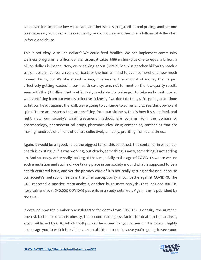care, over-treatment or low-value care, another issue is irregularities and pricing, another one is unnecessary administrative complexity, and of course, another one is billions of dollars lost in fraud and abuse.

This is not okay. A trillion dollars? We could feed families. We can implement community wellness programs, a trillion dollars. Listen, it takes \$999 million-plus one to equal a billion, a billion dollars is insane. Now, we're talking about \$999 billion-plus another billion to reach a trillion dollars. It's really, really difficult for the human mind to even comprehend how much money this is, but it's like stupid money, it is insane, the amount of money that is just effectively getting wasted in our health care system, not to mention the low-quality results seen with the \$3 trillion that is effectively trackable. So, we've got to take an honest look at who's profiting from our world's collective sickness, if we don't do that, we're going to continue to hit our heads against the wall, we're going to continue to suffer and to see this downward spiral. There are systems that are profiting from our sickness, this is how it's sustained, and right now our society's chief treatment methods are coming from the domain of pharmacology, pharmaceutical drugs, pharmaceutical drug companies, companies that are making hundreds of billions of dollars collectively annually, profiting from our sickness.

Again, it would be all good, I'd be the biggest fan of this construct, this container in which our health is existing in if it was working, but clearly, something is awry, something is not adding up. And so today, we're really looking at that, especially in the age of COVID-19, where we see such a mutation and such a divide taking place in our society around what is supposed to be a health-centered issue, and yet the primary core of it is not really getting addressed, because our society's metabolic health is the chief susceptibility in our battle against COVID-19. The CDC reported a massive meta-analysis, another huge meta-analysis, that included 800 US hospitals and over 540,000 COVID-19 patients in a study detailed... Again, this is published by the CDC.

It detailed how the number-one risk factor for death from COVID-19 is obesity, the numberone risk factor for death is obesity, the second leading risk factor for death in this analysis, again published by CDC, which I will put on the screen for you to see on the video, I highly encourage you to watch the video version of this episode because you're going to see some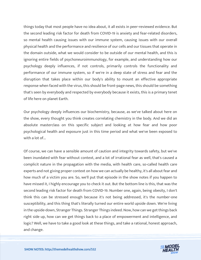things today that most people have no idea about, it all exists in peer-reviewed evidence. But the second leading risk factor for death from COVID-19 is anxiety and fear-related disorders, so mental health causing issues with our immune system, causing issues with our overall physical health and the performance and resilience of our cells and our tissues that operate in the domain outside, what we would consider to be outside of our mental health, and this is ignoring entire fields of psychoneuroimmunology, for example, and understanding how our psychology deeply influences, if not controls, primarily controls the functionality and performance of our immune system, so if we're in a deep state of stress and fear and the disruption that takes place within our body's ability to mount an effective appropriate response when faced with the virus, this should be front-page news, this should be something that's seen by everybody and respected by everybody because it exists, this is a primary tenet of life here on planet Earth.

Our psychology deeply influences our biochemistry, because, as we've talked about here on the show, every thought you think creates correlating chemistry in the body. And we did an absolute masterclass on this specific subject and looking at how fear and how poor psychological health and exposure just in this time period and what we've been exposed to with a lot of...

Of course, we can have a sensible amount of caution and integrity towards safety, but we've been inundated with fear without context, and a lot of irrational fear as well, that's caused a complicit nature in the propagation with the media, with health care, so-called health care experts and not giving proper context on how we can actually be healthy, it's all about fear and how much of a victim you are. So, we'll put that episode in the show notes if you happen to have missed it, I highly encourage you to check it out. But the bottom line is this, that was the second leading risk factor for death from COVID-19. Number one, again, being obesity, I don't think this can be stressed enough because it's not being addressed, it's the number-one susceptibility, and this thing that's literally turned our entire world upside down. We're living in the upside-down, Stranger Things. Stranger Things indeed. Now, how can we get things back right side up, how can we get things back to a place of empowerment and intelligence, and logic? Well, we have to take a good look at these things, and take a rational, honest approach, and change.

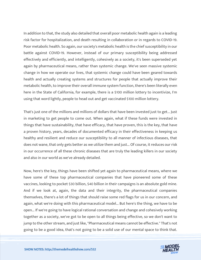In addition to that, the study also detailed that overall poor metabolic health again is a leading risk factor for hospitalization, and death resulting in collaboration or in regards to COVID-19. Poor metabolic health. So again, our society's metabolic health is the chief susceptibility in our battle against COVID-19. However, instead of our primary susceptibility being addressed effectively and efficiently, and intelligently, cohesively as a society, it's been superseded yet again by pharmaceutical means, rather than systemic change. We've seen massive systemic change in how we operate our lives, that systemic change could have been geared towards health and actually creating systems and structures for people that actually improve their metabolic health, to improve their overall immune system function, there's been literally even here in the State of California, for example, there is a \$100 million lottery to incentivize, I'm using that word lightly, people to head out and get vaccinated \$100 million lottery.

That's just one of the millions and millions of dollars that have been invested just to get... Just in marketing to get people to come out. When again, what if these funds were invested in things that have sustainability, that have efficacy, that have proven, this is the key, that have a proven history, years, decades of documented efficacy in their effectiveness in keeping us healthy and resilient and reduce our susceptibility to all manner of infectious diseases, that does not wane, that only gets better as we utilize them and just... Of course, it reduces our risk in our occurrence of all these chronic diseases that are truly the leading killers in our society and also in our world as we've already detailed.

Now, here's the key, things have been shifted yet again to pharmaceutical means, where we have some of these top pharmaceutical companies that have pioneered some of these vaccines, looking to pocket \$30 billion, \$40 billion in their campaigns is an absolute gold mine. And if we look at, again, the data and their integrity, the pharmaceutical companies themselves, there's a lot of things that should raise some red flags for us in our concern, and again, what we're doing with this pharmaceutical model... But here's the thing, we have to be open... If we're going to have logical rational conversation and change and cohesively working together as a society, we've got to be open to all things being effective, so we don't want to jump to the other stream, and just like, "Pharmaceutical means cannot be effective." That's not going to be a good idea, that's not going to be a solid use of our mental space to think that.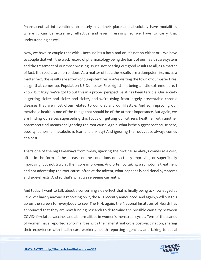Pharmaceutical interventions absolutely have their place and absolutely have modalities where it can be extremely effective and even lifesaving, so we have to carry that understanding as well.

Now, we have to couple that with... Because it's a both-and or, it's not an either or... We have to couple that with the track record of pharmacology being the basis of our health care system and the treatment of our most pressing issues, not bearing out good results at all, as a matter of fact, the results are horrendous. As a matter of fact, the results are a dumpster fire, no, as a matter fact, the results are a town of dumpster fires, you're visiting the town of dumpster fires, a sign that comes up, Population US Dumpster Fire, right? I'm being a little extreme here, I know, but truly, we've got to put this in a proper perspective, it has been terrible. Our society is getting sicker and sicker and sicker, and we're dying from largely preventable chronic diseases that are most often related to our diet and our lifestyle. And so, improving our metabolic health is one of the things that should be of the utmost importance. But again, we are finding ourselves superseding this focus on getting our citizens healthier with another pharmaceutical means and ignoring the root cause. Again, what is the biggest root cause here, obesity, abnormal metabolism, fear, and anxiety? And ignoring the root cause always comes at a cost.

That's one of the big takeaways from today, ignoring the root cause always comes at a cost, often in the form of the disease or the conditions not actually improving or superficially improving, but not truly at their core improving. And often by taking a symptoms treatment and not addressing the root cause, often at the advent, what happens is additional symptoms and side-effects. And so that's what we're seeing currently.

And today, I want to talk about a concerning side-effect that is finally being acknowledged as valid, yet hardly anyone is reporting on it, the NIH recently announced, and again, we'll put this up on the screen for everybody to see. The NIH, again, the National Institutes of Health has announced that they are now funding research to determine the possible causality between COVID-19-related vaccines and abnormalities in women's menstrual cycles. Tens of thousands of women have reported abnormalities with their menstrual cycle post-vaccination, sharing their experience with health care workers, health reporting agencies, and taking to social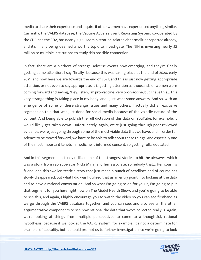media to share their experience and inquire if other women have experienced anything similar. Currently, the VAERS database, the Vaccine Adverse Event Reporting System, co-operated by the CDC and the FDA, has nearly 10,000 administration-related abnormalities reported already, and it's finally being deemed a worthy topic to investigate. The NIH is investing nearly \$2 million to multiple institutions to study this possible connection.

In fact, there are a plethora of strange, adverse events now emerging, and they're finally getting some attention. I say "finally" because this was taking place at the end of 2020, early 2021, and now here we are towards the end of 2021, and this is just now getting appropriate attention, or not even to say appropriate, it is getting attention as thousands of women were coming forward and saying, "Hey, listen, I'm pro-vaccine, very pro-vaccine, but I have this... This very strange thing is taking place in my body, and I just want some answers. And so, with an emergence of some of these strange issues and many others, I actually did an exclusive segment on this that was just done for social media because of the volatile nature of the content. And being able to publish the full dictation of this data on YouTube, for example, it would likely get taken down. Unfortunately, again, we're just going through peer-reviewed evidence, we're just going through some of the most viable data that we have, and in order for science to be moved forward, we have to be able to talk about these things. And especially one of the most important tenets in medicine is informed consent, so getting folks educated.

And in this segment, I actually utilized one of the strangest stories to hit the airwaves, which was a story from rap superstar Nicki Minaj and her associate, somebody that... Her cousin's friend, and this swollen testicle story that just made a bunch of headlines and of course has slowly disappeared, but what I did was I utilized that as an entry point into looking at the data and to have a rational conversation. And so what I'm going to do for you is, I'm going to put that segment for you here right now on The Model Health Show, and you're going to be able to see this, and again, I highly encourage you to watch the video so you can see firsthand as we go through the VAERS database together, and you can see, and also see all the other argumentative components to see how rational the data that we've collected really is. Again, we're looking at things from multiple perspectives to come to a thoughtful, rational hypothesis, because if we look at the VAERS system, for example, it's not a determinate for example, of causality, but it should prompt us to further investigation, so we're going to look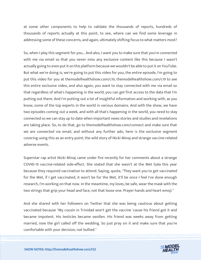at some other components to help to validate the thousands of reports, hundreds of thousands of reports actually at this point, to see, where can we find some leverage in addressing some of these concerns, and again, ultimately shifting focus to what matters most?

So, when I play this segment for you... And also, I want you to make sure that you're connected with me via email so that you never miss any exclusive content like this because I wasn't actually going to even put it on this platform because we wouldn't be able to put it on YouTube. But what we're doing is, we're going to put this video for you, the entire episode, I'm going to put this video for you at themodelhealthshow.com/c19, themodelhealthshow.com/c19 to see this entire exclusive video, and also again, you want to stay connected with me via email so that regardless of what's happening in the world, you can get first access to the data that I'm putting out there. And I'm putting out a lot of insightful information and working with, as you know, some of the top experts in the world in various domains. And with the show, we have two episodes coming out a week, and with all that's happening in the world, you need to stay connected so we can stay up to date when important news stories and studies and revelations are taking place. So, to do that, go to themodelhealthshow.com/connect and make sure that we are connected via email, and without any further ado, here is the exclusive segment covering using this as an entry point, the wild story of Nicki Minaj and strange vaccine-related adverse events.

Superstar rap artist Nicki Minaj came under fire recently for her comments about a strange COVID-19 vaccine-related side-effect. She stated that she wasn't at the Met Gala this year because they required vaccination to attend. Saying, quote, "They want you to get vaccinated for the Met, if I get vaccinated, it won't be for the Met, it'll be once I feel I've done enough research, I'm working on that now. In the meantime, my loves, be safe, wear the mask with the two strings that grip your head and face, not that loose one. Prayer hands and heart emoji."

And she shared with her followers on Twitter that she was being cautious about getting vaccinated because "My cousin in Trinidad won't get the vaccine 'cause his friend got it and became impotent. His testicles became swollen. His friend was weeks away from getting married, now the girl called off the wedding. So just pray on it and make sure that you're comfortable with your decision, not bullied."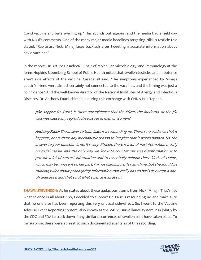Covid vaccine and balls swelling up? This sounds outrageous, and the media had a field day with Nikki's comments. One of the many major media headlines targeting Nikki's testicle tale stated, "Rap artist Nicki Minaj faces backlash after tweeting inaccurate information about covid vaccines."

In the report, Dr. Arturo Casadevall, Chair of Molecular Microbiology, and Immunology at the Johns Hopkins Bloomberg School of Public Health noted that swollen testicles and impotence aren't side effects of the vaccine. Casadevall said, "The symptoms experienced by Minaj's cousin's friend were almost certainly not connected to the vaccines, and the timing was just a coincidence." And the well-known director of the National Institutes of Allergy and Infectious Diseases, Dr. Anthony Fauci, chimed in during this exchange with CNN's Jake Tapper.

Jake Tapper: Dr. Fauci, is there any evidence that the Pfizer, the Moderna, or the J&J vaccines cause any reproductive issues in men or women?

Anthony Fauci: The answer to that, Jake, is a resounding no. There's no evidence that it happens, nor is there any mechanistic reason to imagine that it would happen. So, the answer to your question is no. It's very difficult, there is a lot of misinformation mostly on social media, and the only way we know to counter mis and disinformation is to provide a lot of correct information and to essentially debunk these kinds of claims, which may be innocent on her part, I'm not blaming her for anything, but she should be thinking twice about propagating information that really has no basis as except a oneoff anecdote, and that's not what science is all about.

SHAWN STEVENSON: As he states about these audacious claims from Nicki Minaj, "That's not what science is all about." So, I decided to support Dr. Fauci's resounding no and make sure that no one else has been reporting this very unusual side-effect. So, I went to the Vaccine Adverse Event Reporting System, also known as the VAERS surveillance system, run jointly by the CDC and FDA to track down if any similar occurrences of swollen balls have taken place. To my surprise, there were at least 80 such documented events as of this recording.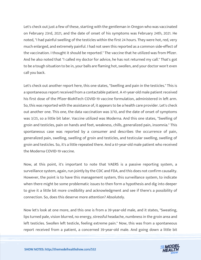Let's check out just a few of these, starting with the gentleman in Oregon who was vaccinated on February 23rd, 2021, and the date of onset of his symptoms was February 24th, 2021. He noted, "I had painful swelling of the testicles within the first 24 hours. They were hot, red, very much enlarged, and extremely painful. I had not seen this reported as a common side-effect of the vaccination. I thought it should be reported." The vaccine that he utilized was from Pfizer. And he also noted that "I called my doctor for advice, he has not returned my call." That's got to be a tough situation to be in, your balls are flaming hot, swollen, and your doctor won't even call you back.

Let's check out another report here, this one states, "Swelling and pain in the testicles." This is a spontaneous report received from a contactable patient. A 41-year-old male patient received his first dose of the Pfizer-BioNTech COVID-19 vaccine formulation, administered in left arm. So, this was reported with the assistance of, it appears to be a health care provider. Let's check out another one. This one, the data vaccination was 3/10, and the date of onset of symptoms was 3/25, so a little bit later. Vaccine utilized was Moderna. And this one states, "Swelling of groin and testicles, pain on hands and feet, weakness, chills, generalized pain, insomnia." This spontaneous case was reported by a consumer and describes the occurrence of pain, generalized pain, swelling, swelling of groin and testicles, and testicular swelling, swelling of groin and testicles. So, it's a little repeated there. And a 61-year-old male patient who received the Moderna COVID-19 vaccine.

Now, at this point, it's important to note that VAERS is a passive reporting system, a surveillance system, again, run jointly by the CDC and FDA, and this does not confirm causality. However, the point is to have this management system, this surveillance system, to indicate when there might be some problematic issues to then form a hypothesis and dig into deeper to give it a little bit more credibility and acknowledgment and see if there's a possibility of connection. So, does this deserve more attention? Absolutely.

Now let's look at one more, and this one is from a 39-year-old male, and it states, "Sweating, lips turned pale, vision blurred, no energy, stressful headache, numbness in the groin area and left testicles. Swollen left testicle, feeling extreme pain." Now, this was from a spontaneous report received from a patient, a concerned 39-year-old male. And going down a little bit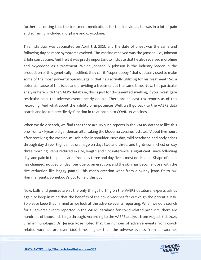further, it's noting that the treatment medications for this individual, he was in a lot of pain and suffering, included morphine and oxycodone.

This individual was vaccinated on April 3rd, 2021, and the date of onset was the same and following day as more symptoms evolved. The vaccine received was the Janssen, I.e., Johnson & Johnson vaccine. And I felt it was pretty important to indicate that he also received morphine and oxycodone as a treatment. Which Johnson & Johnson is the industry leader in the production of this genetically modified, they call it, "super poppy," that's actually used to make some of the most powerful opioids, again, that he's actually utilizing for his treatment? So, a potential cause of this issue and providing a treatment at the same time. Now, this particular analysis here with the VAERS database, this is just for documented swelling, if you investigate testicular pain, the adverse events nearly double. There are at least 170 reports as of this recording. And what about the validity of impotence? Well, we'll go back to the VAERS data search and lookup erectile dysfunction in relationship to COVID-19 vaccines.

When we do a search, we find that there are 115 such reports in the VAERS database like this one from a 41-year-old gentleman after taking the Moderna vaccine. It states, "About five hours after receiving the vaccine, muscle ache in shoulder. Next day, mild headache and body aches through day three. Slight sinus drainage on days two and three, and tightness in chest on day three morning. Penis reduced in size, length and circumference is significant, since following day, and pain in the penile area from day three and day five is most noticeable. Shape of penis has changed, noticed on day four due to an erection, and the skin has become loose with the size reduction like baggy pants." This man's erection went from a skinny jeans fit to MC Hammer pants. Somebody's got to help this guy.

Now, balls and penises aren't the only things hurting on the VAERS database, experts ask us again to keep in mind that the benefits of the covid vaccines far outweigh the potential risk. So please keep that in mind as we look at the adverse events reporting. When we do a search for all adverse events reported in the VAERS database for covid-related products, there are hundreds of thousands to go through. According to the VAERS analysis from August 31st, 2021, viral immunologist Dr. Jessica Rose noted that the number of adverse events from covidrelated vaccines are over 1,100 times higher than the adverse events from all vaccines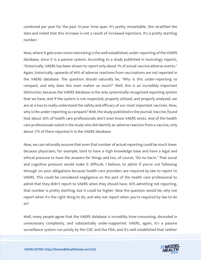combined per year for the past 10-year time span. It's pretty remarkable. She stratified the data and noted that this increase is not a result of increased injections. It's a pretty startling number.

Now, where it gets even more interesting is the well-established, under-reporting of the VAERS database, since it is a passive system. According to a study published in toxicology reports, "Historically, VAERS has been shown to report only about 1% of actual vaccine adverse events." Again, historically, upwards of 99% of adverse reactions from vaccinations are not reported in the VAERS database. The question should naturally be, "Why is this under-reporting so rampant, and why does this even matter so much?" Well, this is an incredibly important distinction, because the VAERS database is the only systemically recognized reporting system that we have, and if the system is not respected, properly utilized, and properly analyzed, we are at a loss to really understand the safety and efficacy of our most important vaccines. Now, why is the under-reporting so rampant? Well, the study published in the journal, Vaccine, found that about 30% of health care professionals don't even know VAERS exists. And of the health care professionals noted in the study who did identify an adverse reaction from a vaccine, only about 17% of them reported it in the VAERS database.

Now, we can rationally assume that even that number of actual reporting could be much lower because physicians, for example, tend to have a high knowledge base and have a legal and ethical pressure to have the answers for things and too, of course, "Do no harm." That social and cognitive pressure would make it difficult, I believe, to admit if you're not following through on your obligations because health care providers are required by law to report to VAERS. This could be considered negligence on the part of the health care professional to admit that they didn't report to VAERS when they should have. 83% admitting not reporting, that number is pretty startling, but it could be higher. Now the question would be, why not report when it's the right thing to do, and why not report when you're required by law to do so?

Well, many people agree that the VAERS database is incredibly time-consuming, shrouded in unnecessary complexity, and substantially under-supported. VAERS, again, it's a passive surveillance system run jointly by the CDC and the FDA, and it's well established that neither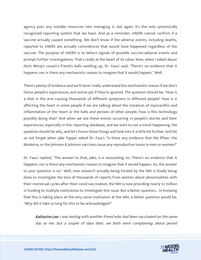agency puts any notable resources into managing it, but again it's the only systemically recognized reporting system that we have. And as a reminder, VAERS cannot confirm if a vaccine actually caused something. We don't know if the adverse events, including deaths, reported to VAERS are actually coincidences that would have happened regardless of the vaccine. The purpose of VAERS is to detect signals of possible vaccine-adverse events and prompt further investigations. That's really at the heart of its value. Now, when I asked about Nicki Minaj's cousin's friend's balls swelling up, Dr. Fauci said, "There's no evidence that it happens, nor is there any mechanistic reason to imagine that it would happen." Well.

There's plenty of evidence and we'll never really understand the mechanistic reason if we don't honor people's experiences, and worse yet if they're ignored. The question should be, "How is a shot in the arm causing thousands of different symptoms in different people? How is it affecting the heart in some people if we are talking about the instances of myocarditis and inflammation of the heart or the balls and penises of other people, how is this technology possibly doing that? And when we see these events occurring in people's stories and their experiences, especially in this reporting database, and we start to see a trend happening, the question should be why, and let's honor these things and look into it a little bit further. And let us not forget when Jake Tapper asked Dr. Fauci, "Is there any evidence that the Pfizer, the Moderna, or the Johnson & Johnson vaccines cause any reproductive issues in men or women?"

Dr. Fauci replied, "The answer to that, Jake, is a resounding no. There's no evidence that it happens, nor is there any mechanistic reason to imagine that it would happen. So, the answer to your question is no." Well, new research actually being funded by the NIH is finally being done to investigate the tens of thousands of reports from women about abnormalities with their menstrual cycles after their covid vaccination, the NIH is now providing nearly \$2 million in funding to multiple institutions to investigate this issue. But a better question... In knowing that this is taking place at the very same institution at the NIH, a better question would be, "Why did it take so long for this to be acknowledged?"

Katharine Lee: I was texting with another friend who had been vaccinated on the same day as me, but a couple of days later, we both were complaining about period

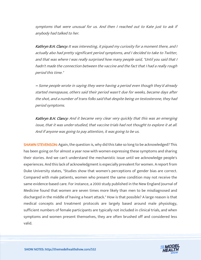symptoms that were unusual for us. And then I reached out to Kate just to ask if anybody had talked to her.

Kathryn B.H. Clancy: It was interesting, it piqued my curiosity for a moment there, and I actually also had pretty significant period symptoms, and I decided to take to Twitter, and that was where I was really surprised how many people said, "Until you said that I hadn't made the connection between the vaccine and the fact that I had a really rough period this time."

~ Some people wrote in saying they were having a period even though they'd already started menopause, others said their period wasn't due for weeks, became days after the shot, and a number of trans folks said that despite being on testosterone, they had period symptoms.

Kathryn B.H. Clancy: And it became very clear very quickly that this was an emerging issue, that it was under-studied, that vaccine trials had not thought to explore it at all. And if anyone was going to pay attention, it was going to be us.

**SHAWN STEVENSON:** Again, the question is, why did this take so long to be acknowledged? This has been going on for almost a year now with women expressing these symptoms and sharing their stories. And we can't understand the mechanistic issue until we acknowledge people's experiences. And this lack of acknowledgment is especially prevalent for women. A report from Duke University states, "Studies show that women's perceptions of gender bias are correct. Compared with male patients, women who present the same condition may not receive the same evidence-based care. For instance, a 2000 study published in the New England Journal of Medicine found that women are seven times more likely than men to be misdiagnosed and discharged in the middle of having a heart attack." How is that possible? A large reason is that medical concepts and treatment protocols are largely based around male physiology, sufficient numbers of female participants are typically not included in clinical trials, and when symptoms and women present themselves, they are often brushed off and considered less valid.

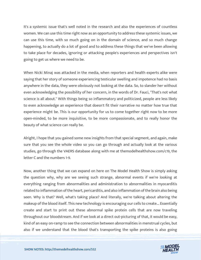It's a systemic issue that's well noted in the research and also the experiences of countless women. We can use this time right now as an opportunity to address these systemic issues, we can use this time, with so much going on in the domain of science, and so much change happening, to actually do a lot of good and to address these things that we've been allowing to take place for decades, ignoring or attacking people's experiences and perspectives isn't going to get us where we need to be.

When Nicki Minaj was attacked in the media, when reporters and health experts alike were saying that her story of someone experiencing testicular swelling and impotence had no basis anywhere in the data, they were obviously not looking at the data. So, to slander her without even acknowledging the possibility of her concern, in the words of Dr. Fauci, "That's not what science is all about." With things being so inflammatory and politicized, people are less likely to even acknowledge an experience that doesn't fit their narrative no matter how true that experience might be. This is our opportunity for us to come together right now to be more open-minded, to be more inquisitive, to be more compassionate, and to really honor the beauty of what science can really be.

Alright, I hope that you gained some new insights from that special segment, and again, make sure that you see the whole video so you can go through and actually look at the various studies, go through the VAERS database along with me at themodelhealthshow.com/c19, the letter C and the numbers 1-9.

Now, another thing that we can expand on here on The Model Health Show is simply asking the question why, why are we seeing such strange, abnormal events if we're looking at everything ranging from abnormalities and administration to abnormalities in myocarditis related to inflammation of the heart, pericarditis, and also inflammation of the brain also being seen. Why is that? Well, what's taking place? And literally, we're talking about altering the makeup of the blood itself. This new technology is encouraging our cells to create... Essentially create and start to print out these abnormal spike protein cells that are now traveling throughout our bloodstream. And if we look at a direct out-picturing of that, it would be easy, kind of an easy on-ramp to see the connection between abnormalities in menstrual cycles, but also if we understand that the blood that's transporting the spike proteins is also going

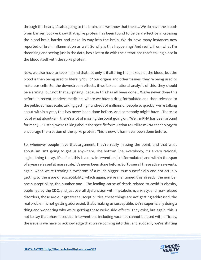through the heart, it's also going to the brain, and we know that these... We do have the bloodbrain barrier, but we know that spike protein has been found to be very effective in crossing the blood-brain barrier and make its way into the brain. We do have many instances now reported of brain inflammation as well. So why is this happening? And really, from what I'm theorizing and seeing just in the data, has a lot to do with the alterations that's taking place in the blood itself with the spike protein.

Now, we also have to keep in mind that not only is it altering the makeup of the blood, but the blood is then being used to literally "build" our organs and other tissues, they're being used to make our cells. So, the downstream effects, if we take a rational analysis of this, they should be alarming, but not that surprising, because this has all been done... We've never done this before. In recent, modern medicine, where we have a drug formulated and then released to the public at mass scale, talking getting hundreds of millions of people so quickly, we're talking about within a year, this has never been done before. And somebody might have... There's a lot of what about-ism, there's a lot of missing the point going on. "Well, mRNA has been around for many... " Listen, we're talking about the specific formulation to utilize mRNA technology to encourage the creation of the spike protein. This is new, it has never been done before.

So, whenever people have that argument, they're really missing the point, and that what about-ism isn't going to get us anywhere. The bottom line, everybody, it's a very rational, logical thing to say, it's a fact, this is a new intervention just formulated, and within the span of a year released at mass scale, it's never been done before. So, to see all these adverse events, again, when we're treating a symptom of a much bigger issue superficially and not actually getting to the issue of susceptibility, which again, we've mentioned this already, the number one susceptibility, the number one... The leading cause of death related to covid is obesity, published by the CDC, and just overall dysfunction with metabolism, anxiety, and fear-related disorders, these are our greatest susceptibilities, these things are not getting addressed, the real problem is not getting addressed, that's making us susceptible, we're superficially doing a thing and wondering why we're getting these weird side-effects. They exist, but again, this is not to say that pharmaceutical interventions including vaccines cannot be used with efficacy, the issue is we have to acknowledge that we're coming into this, and suddenly we're shifting

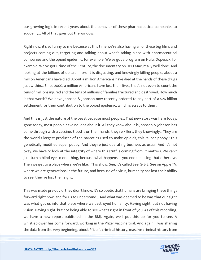our growing logic in recent years about the behavior of these pharmaceutical companies to suddenly... All of that goes out the window.

Right now, it's so funny to me because at this time we're also having all of these big films and projects coming out, targeting and talking about what's taking place with pharmaceutical companies and the opioid epidemic, for example. We've got a program on Hulu, Dopesick, for example. We've got Crime of the Century, the documentary on HBO Max, really well done. And looking at the billions of dollars in profit is disgusting, and knowingly killing people, about a million Americans have died. About a million Americans have died at the hands of these drugs just within... Since 2000, a million Americans have lost their lives, that's not even to count the tens of millions injured and the tens of millions of families fractured and destroyed. How much is that worth? We have Johnson & Johnson now recently ordered to pay part of a \$26 billion settlement for their contribution to the opioid epidemic, which is scraps to them.

And this is just the nature of the beast because most people... That new story was here today, gone today, most people have no idea about it. All they know about is Johnson & Johnson has come through with a vaccine. Blood is on their hands, they're killers, they knowingly... They are the world's largest producer of the narcotics used to make opioids, this "super poppy," this genetically modified super poppy. And they're just operating business as usual. And it's not okay, we have to look at the integrity of where this stuff is coming from, it matters. We can't just turn a blind eye to one thing, because what happens is you end up losing that other eye. Then we get to a place where we're like... This show, See, it's called See, S-E-E, See on Apple TV, where we are generations in the future, and because of a virus, humanity has lost their ability to see, they've lost their sight.

This was made pre-covid, they didn't know. It's so poetic that humans are bringing these things forward right now, and for us to understand... And what was deemed to be was that our sight was what got us into that place where we destroyed humanity. Having sight, but not having vision. Having sight, but not being able to see what's right in front of you. As of this recording, we have a new report published in the BMJ. Again, we'll put this up for you to see. A whistleblower has come forward, working in the Pfizer vaccine trial. And again, I was sharing the data from the very beginning, about Pfizer's criminal history, massive criminal history from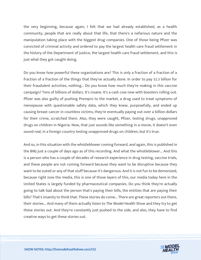the very beginning, because again, I felt that we had already established, as a health community, people that are really about that life, that there's a nefarious nature and the manipulation taking place with the biggest drug companies. One of those being Pfizer was convicted of criminal activity and ordered to pay the largest health care fraud settlement in the history of the Department of Justice, the largest health care fraud settlement, and this is just what they got caught doing.

Do you know how powerful these organizations are? This is only a fraction of a fraction of a fraction of a fraction of the things that they've actually done. In order to pay \$2.3 billion for their fraudulent activities, nothing... Do you know how much they're making in this vaccine campaign? Tens of billions of dollars. It's insane. It's a cash cow now with boosters rolling out. Pfizer was also guilty of pushing Prempro to the market, a drug used to treat symptoms of menopause with questionable safety data, which they knew, purposefully, and ended up causing breast cancer in countless victims, they're eventually paying out over a billion dollars for their crime, scratched them. Also, they were caught, Pfizer, testing drugs, unapproved drugs on children in Nigeria. Now, that just sounds like something in a movie, it doesn't even sound real, in a foreign country testing unapproved drugs on children, but it's true.

And so, in this situation with the whistleblower coming forward, and again, this is published in the BMJ just a couple of days ago as of this recording. And what the whistleblower... And this is a person who has a couple of decades of research experience in drug testing, vaccine trials, and these people are not coming forward because they want to be disruptive because they want to be outed or any of that stuff because it's dangerous. And it is not fun to be demonized, because right now the media, this is one of those layers of this, our media today here in the United States is largely funded by pharmaceutical companies. Do you think they're actually going to talk bad about the person that's paying their bills, the entities that are paying their bills? That's insanity to think that. These stories do come... There are great reporters out there, their stories... And many of them actually listen to The Model Health Show and they try to get these stories out. And they're constantly just pushed to the side, and also, they have to find creative ways to get these stories out.

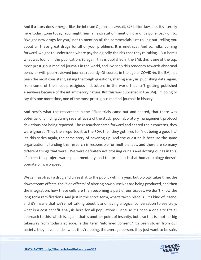And if a story does emerge, like the Johnson & Johnson lawsuit, \$26 billion lawsuits, it's literally here today, gone today. You might hear a news station mention it and it's gone, back on to, "We got new drugs for you," not to mention all the commercials just rolling out, telling you about all these great drugs for all of your problems. It is unethical. And so, folks, coming forward, we got to understand where psychologically the risk that they're taking... But here's what was found in this publication. So again, this is published in the BMJ, this is one of the top, most prestigious medical journals in the world, and I've seen this tendency towards abnormal behavior with peer-reviewed journals recently. Of course, in the age of COVID-19, the BMJ has been the most consistent, asking the tough questions, sharing analysis, publishing data, again, from some of the most prestigious institutions in the world that isn't getting published elsewhere because of the inflammatory nature. But this was published in the BMJ. I'm going to say this one more time, one of the most prestigious medical journals in history.

And here's what the researcher in the Pfizer trials came out and shared, that there was potential unblinding during several facets of the study, poor laboratory management, protocol deviations not being reported. The researcher came forward and shared their concerns, they were ignored. They then reported it to the FDA, then they got fired for "not being a good fit." It's this series again, the same story of covering up. And the question is because the same organization is funding this research is responsible for multiple labs, and there are so many different things that were... We were definitely not crossing our T's and dotting our I's in this. It's been this project warp-speed mentality, and the problem is that human biology doesn't operate on warp speed.

We can fast-track a drug and unleash it to the public within a year, but biology takes time, the downstream effects, the "side effects" of altering how ourselves are being produced, and then the integration, how these cells are then becoming a part of our tissues, we don't know the long-term ramifications. And just in the short-term, what's taken place is... It's kind of insane, and it's insane that we're not talking about it and having a logical conversation to see truly, what is a cost-benefit analysis here for all populations? Because it's been a one-size-fits-all approach to this, which is, again, that is another point of insanity, but also this is another big takeaway from today's episode, is this term "informed consent." It's been stolen from our society, they have no idea what they're doing, the average person, they just want to be safe,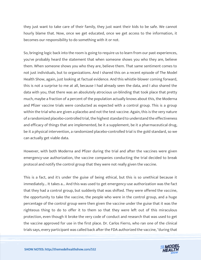they just want to take care of their family, they just want their kids to be safe. We cannot hourly blame that. Now, once we get educated, once we get access to the information, it becomes our responsibility to do something with it or not.

So, bringing logic back into the room is going to require us to learn from our past experiences, you've probably heard the statement that when someone shows you who they are, believe them. When someone shows you who they are, believe them. That same sentiment comes to not just individuals, but to organizations. And I shared this on a recent episode of The Model Health Show, again, just looking at factual evidence. And this whistle-blower coming forward, this is not a surprise to me at all, because I had already seen the data, and I also shared the data with you, that there was an absolutely atrocious un-blinding that took place that pretty much, maybe a fraction of a percent of the population actually knows about this, the Moderna and Pfizer vaccine trials were conducted as expected with a control group. This is a group within the trial who are given a placebo and not the test vaccine. Again, this is the very nature of a randomized placebo-controlled trial, the highest standard to understand the effectiveness and efficacy of things that are implemented, be it a supplement, be it a pharmaceutical drug, be it a physical intervention, a randomized placebo-controlled trial is the gold standard, so we can actually get viable data.

However, with both Moderna and Pfizer during the trial and after the vaccines were given emergency-use authorization, the vaccine companies conducting the trial decided to break protocol and notify the control group that they were not really given the vaccine.

This is a fact, and it's under the guise of being ethical, but this is so unethical because it immediately... It takes a... And this was used to get emergency-use authorization was the fact that they had a control group, but suddenly that was shifted. They were offered the vaccine, the opportunity to take the vaccine, the people who were in the control group, and a huge percentage of the control group were then given the vaccine under the guise that it was the righteous thing to do to offer it to them so that they were left out of this miraculous protection, even though it broke the very code of conduct and research that was used to get the vaccine approved for use in the first place. Dr. Carlos Fierro, who ran one of the clinical trials says, every participant was called back after the FDA authorized the vaccine, "during that

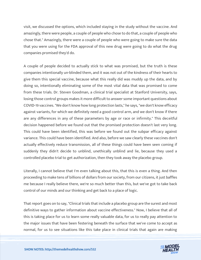visit, we discussed the options, which included staying in the study without the vaccine. And amazingly, there were people, a couple of people who chose to do that, a couple of people who chose that." Amazingly, there were a couple of people who were going to make sure the data that you were using for the FDA approval of this new drug were going to do what the drug companies promised they'd do.

A couple of people decided to actually stick to what was promised, but the truth is these companies intentionally un-blinded them, and it was not out of the kindness of their hearts to give them this special vaccine, because what this really did was muddy up the data, and by doing so, intentionally eliminating some of the most vital data that was promised to come from these trials. Dr. Steven Goodman, a clinical trial specialist at Stanford University, says, losing those control groups makes it more difficult to answer some important questions about COVID-19 vaccines. "We don't know how long protection lasts," he says, "we don't know efficacy against variants, for which we definitely need a good control arm, and we don't know if there are any differences in any of these parameters by age or race or infirmity." This deceitful decision happened before we found out that the promised protection doesn't last very long. This could have been identified, this was before we found out the subpar efficacy against variance. This could have been identified. And also, before we saw clearly these vaccines don't actually effectively reduce transmission, all of these things could have been seen coming if suddenly they didn't decide to unblind, unethically unblind and lie, because they used a controlled placebo trial to get authorization, then they took away the placebo group.

Literally, I cannot believe that I'm even talking about this, that this is even a thing. And then proceeding to make tens of billions of dollars from our society, from our citizens, it just baffles me because I really believe there, we're so much better than this, but we've got to take back control of our minds and our thinking and get back to a place of logic.

That report goes on to say, "Clinical trials that include a placebo group are the surest and most definitive ways to gather information about vaccine effectiveness." Now, I believe that all of this is taking place for us to learn some really valuable data, for us to really pay attention to the major issues that have been festering beneath the surface that we've come to accept as normal, for us to see situations like this take place in clinical trials that again are making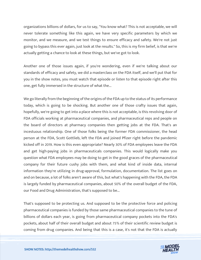organizations billions of dollars, for us to say, "You know what? This is not acceptable, we will never tolerate something like this again, we have very specific parameters by which we monitor, and we measure, and we test things to ensure efficacy and safety. We're not just going to bypass this ever again, just look at the results." So, this is my firm belief, is that we're actually getting a chance to look at these things, but we've got to look.

Another one of those issues again, if you're wondering, even if we're talking about our standards of efficacy and safety, we did a masterclass on the FDA itself, and we'll put that for you in the show notes, you must watch that episode or listen to that episode right after this one, get fully immersed in the structure of what the...

We go literally from the beginning of the origins of the FDA up to the status of its performance today, which is going to be shocking. But another one of those crafty issues that again, hopefully, we're going to get into a place where this is not acceptable, is this revolving door of FDA officials working at pharmaceutical companies, and pharmaceutical reps and people on the board of directors at pharmacy companies then getting jobs at the FDA. That's an incestuous relationship. One of those folks being the former FDA commissioner, the head person at the FDA, Scott Gottlieb, left the FDA and joined Pfizer right before the pandemic kicked off in 2019. How is this even appropriate? Nearly 30% of FDA employees leave the FDA and get high-paying jobs in pharmaceuticals companies. This would logically make you question what FDA employees may be doing to get in the good graces of the pharmaceutical company for their future cushy jobs with them, and what kind of inside data, internal information they're utilizing in drug-approval, formulation, documentation. The list goes on and on because, a lot of folks aren't aware of this, but what's happening with the FDA, the FDA is largely funded by pharmaceutical companies, about 50% of the overall budget of the FDA, our Food and Drug Administration, that's supposed to be...

That's supposed to be protecting us. And supposed to be the protective force and policing pharmaceutical companies is funded by those same pharmaceutical companies to the tune of billions of dollars each year, is going from pharmaceutical company pockets into the FDA's pockets, about half of their overall budget and about 75% of their scientific review budget is coming from drug companies. And being that this is a case, it's not that the FDA is actually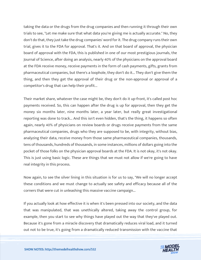taking the data or the drugs from the drug companies and then running it through their own trials to see, "Let me make sure that what data you're giving me is actually accurate." No, they don't do that, they just take the drug companies' word for it. The drug company runs their own trial, gives it to the FDA for approval. That's it. And on that board of approval, the physician board of approval with the FDA, this is published in one of our most prestigious journals, the Journal of Science, after doing an analysis, nearly 40% of the physicians on the approval board at the FDA receive money, receive payments in the form of cash payments, gifts, grants from pharmaceutical companies, but there's a loophole, they don't do it... They don't give them the thing, and then they get the approval of their drug or the non-approval or approval of a competitor's drug that can help their profit...

Their market share, whatever the case might be, they don't do it up-front, it's called post hoc payments received. So, this can happen after the drug is up for approval, then they get the money six months later, nine months later, a year later, but really great investigational reporting was done to track... And this isn't even hidden, that's the thing, it happens so often again, nearly 40% of physicians on review boards or drugs receive payments from the same pharmaceutical companies, drugs who they are supposed to be, with integrity, without bias, analyzing their data, receive money from those same pharmaceutical companies, thousands, tens of thousands, hundreds of thousands, in some instances, millions of dollars going into the pocket of those folks on the physician approval boards at the FDA. It is not okay, it's not okay. This is just using basic logic. These are things that we must not allow if we're going to have real integrity in this process.

Now again, to see the silver lining in this situation is for us to say, "We will no longer accept these conditions and we must change to actually see safety and efficacy because all of the corners that were cut in unleashing this massive vaccine campaign...

If you actually look at how effective it is when it's been pressed into our society, and the data that was manipulated, that was unethically altered, taking away the control group, for example, then you start to see why things have played out the way that they've played out. Because it's gone from a miracle discovery that dramatically reduces viral load, and it turned out not to be true, it's going from a dramatically reduced transmission with the vaccine that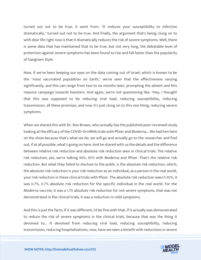turned out not to be true, it went from, "It reduces your susceptibility to infection dramatically," turned out not to be true. And finally, the argument that's being clung on to with dear life right now is that it dramatically reduces the risk of severe symptoms. Well, there is some data that has maintained that to be true, but not very long, the debatable level of protection against severe symptoms has been found to rise and fall faster than the popularity of Gangnam Style.

Now, if we've been keeping our eyes on the data coming out of Israel, which is known to be the "most vaccinated population on Earth," we've seen that the effectiveness varying significantly, and this can range from two to six months later, prompting the advent and this massive campaign towards boosters. And again, we're not questioning like, "Hey, I thought that this was supposed to be reducing viral load, reducing susceptibility, reducing transmission, all these promises, and now it's just clung on to this one thing, reducing severe symptoms.

When we shared this with Dr. Ron Brown, who actually has the published peer-reviewed study looking at the efficacy of the COVID-19 mRNA trials with Pfizer and Moderna... We had him here on the show because that's what we do, we will go and actually go to the researcher and find out, if at all possible, what's going on here. And he shared with us the details and the difference between relative risk reduction and absolute risk reduction seen in clinical trials. The relative risk reduction, yes, we're talking 94%, 95% with Moderna and Pfizer. That's the relative risk reduction. But what they failed to disclose to the public is the absolute risk reduction, which, the absolute risk reduction is your risk reduction as an individual, as a person in the real world, your risk reduction in these clinical trials with Pfizer. The absolute risk reduction wasn't 95%, it was 0.7%, 0.7% absolute risk reduction for the specific individual in the real world. For the Moderna vaccine, it was a 1.1% absolute risk reduction for not severe symptoms, that was not demonstrated in the clinical trials, it was a reduction in mild symptoms.

And this is just the facts, if it was different, I'd be fine with that, if it actually was demonstrated to reduce the risk of severe symptoms in the clinical trials, because that was the thing it devolved to... It devolved from reducing viral load, reducing susceptibility, reducing transmission, reducing hospitalizations, now, have we seen a benefit with reductions in severe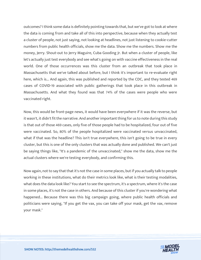outcomes? I think some data is definitely pointing towards that, but we've got to look at where the data is coming from and take all of this into perspective, because when they actually test a cluster of people, not just saying, not looking at headlines, not just listening to cookie-cutter numbers from public health officials, show me the data. Show me the numbers. Show me the money, Jerry. Shout-out to Jerry Maguire, Cuba Gooding Jr. But when a cluster of people, like let's actually just test everybody and see what's going on with vaccine effectiveness in the real world. One of those occurrences was this cluster from an outbreak that took place in Massachusetts that we've talked about before, but I think it's important to re-evaluate right here, which is... And again, this was published and reported by the CDC, and they tested 469 cases of COVID-19 associated with public gatherings that took place in this outbreak in Massachusetts. And what they found was that 74% of the cases were people who were vaccinated right.

Now, this would be front-page news, it would have been everywhere if it was the reverse, but it wasn't, it didn't fit the narrative. And another important thing for us to note during this study is that out of those 469 cases, only five of those people had to be hospitalized, four out of five were vaccinated. So, 80% of the people hospitalized were vaccinated versus unvaccinated, what if that was the headline? This isn't true everywhere, this isn't going to be true in every cluster, but this is one of the only clusters that was actually done and published. We can't just be saying things like, "It's a pandemic of the unvaccinated," show me the data, show me the actual clusters where we're testing everybody, and confirming this.

Now again, not to say that that it's not the case in some places, but if you actually talk to people working in these institutions, what do their metrics look like, what is their testing modalities, what does the data look like? You start to see the spectrum, it's a spectrum, where it's the case in some places, it's not the case in others. And because of this cluster if you're wondering what happened... Because there was this big campaign going, where public health officials and politicians were saying, "If you get the vax, you can take off your mask, get the vax, remove your mask."

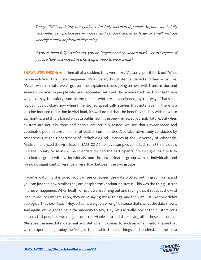Today, CDC is updating our guidance for fully vaccinated people. Anyone who is fully vaccinated can participate in indoor and outdoor activities large or small without wearing a mask or physical distancing.

If you've been fully vaccinated, you no longer need to wear a mask. Let me repeat, if you are fully vaccinated, you no longer need to wear a mask.

SHAWN STEVENSON: And then all of a sudden, they were like, "Actually, put it back on." What happened? Well, this cluster happened. It's a cluster, this cluster happened and they're just like, "Woah, wait a minute, we've got some unexplained issues going on here with transmission and severe outcomes in people who are vaccinated, let's put those mass back on. Don't tell them why, just say for safety. And blame people who are unvaccinated, by the way." That's not logical, it's not okay, now when I mentioned specifically studies that note, even if there is a vaccine-induced reduction in viral load, it's well noted that the benefit vanishes within two to six months, and this is based on data published in the peer-reviewed journal, Nature. But when clusters are actually done and people are actually tested, we see that unvaccinated and vaccinated people have similar viral loads in communities. A collaborative study conducted by researchers at the Department of Pathobiological Sciences at the University of Wisconsin, Madison, analyzed the viral load in SARS COV 2 positive samples collected from 83 individuals in Dane County, Wisconsin. The scientists divided the participants into two groups, the fully vaccinated group with 32 individuals, and the unvaccinated group with 51 individuals, and found no significant difference in viral load between the two groups.

If you're watching the video, you can see on screen the data plotted out in graph form, and you can just see how similar they are despite the vaccination status. This was the thing... It's as if it never happened. When health officials were coming out and saying that it reduces the viral load, it reduces transmission, they were saying these things, and then it's just like they didn't apologize, they didn't say, "Hey, actually, we got it wrong," because that's what the data shows. And again, we've got to have the audacity to say, "Hey, let's actually look at the clusters, let's actually test people so we can get some real viable data and stop having all of these anecdotal... "Because the anecdotal data matters. But when it comes to such an inflammatory issue that we're experiencing today, we've got to be able to test things and understand the data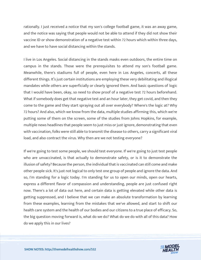rationally. I just received a notice that my son's college football game, it was an away game, and the notice was saying that people would not be able to attend if they did not show their vaccine ID or show demonstration of a negative test within 72 hours which within three days, and we have to have social distancing within the stands.

I live in Los Angeles. Social distancing in the stands masks even outdoors, the entire time on campus in the stands. Those were the prerequisites to attend my son's football game. Meanwhile, there's stadiums full of people, even here in Los Angeles, concerts, all these different things. It's just certain institutions are employing these very debilitating and illogical mandates while others are superficially or clearly ignored them. And basic questions of logic that I would have been, okay, so need to show proof of a negative test 72 hours beforehand. What if somebody does get that negative test and an hour later, they get covid, and then they come to the game and they start spraying out all over everybody? Where's the logic at? Why 72 hours? And also, which we know from the data, multiple studies affirming this, which we're putting some of them on the screen, some of the studies from Johns Hopkins, for example, multiple news headlines that people seem to just miss or just ignore, demonstrating that even with vaccination, folks were still able to transmit the disease to others, carry a significant viral load, and also contract the virus. Why then are we not testing everyone?

If we're going to test some people, we should test everyone. If we're going to just test people who are unvaccinated, is that actually to demonstrate safety, or is it to demonstrate the illusion of safety? Because the person, the individual that is vaccinated can still come and make other people sick. It's just not logical to only test one group of people and ignore the data. And so, I'm standing for a logic today. I'm standing for us to open our minds, open our hearts, express a different flavor of compassion and understanding, people are just confused right now. There's a lot of data out here, and certain data is getting elevated while other data is getting suppressed, and I believe that we can make an absolute transformation by learning from these examples, learning from the mistakes that we've allowed, and start to shift our health care system and the health of our bodies and our citizens to a true place of efficacy. So, the big question moving forward is, what do we do? What do we do with all of this data? How do we apply this in our lives?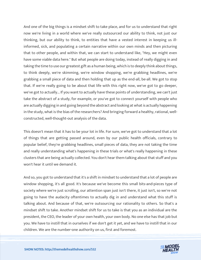And one of the big things is a mindset shift to take place, and for us to understand that right now we're living in a world where we've really outsourced our ability to think, not just our thinking, but our ability to think, to entities that have a vested interest in keeping us illinformed, sick, and populating a certain narrative within our own minds and then picturing that to other people, and within that, we can start to understand like, "Hey, we might even have some viable data here." But what people are doing today, instead of really digging in and taking the time to use our greatest gift as a human being, which is to deeply think about things, to think deeply, we're skimming, we're window shopping, we're grabbing headlines, we're grabbing a small piece of data and then holding that up as the end-all, be-all. We got to stop that. If we're really going to be about that life with this right now, we've got to go deeper, we've got to actually... If you want to actually have these points of understanding, we can't just take the abstract of a study, for example, or you've got to connect yourself with people who are actually digging in and going beyond the abstract and looking at what is actually happening in the study, what is the bias of the researchers? And bringing forward a healthy, rational, wellconstructed, well-thought-out analysis of the data.

This doesn't mean that it has to be your lot in life. For sure, we've got to understand that a lot of things that are getting passed around, even by our public health officials, contrary to popular belief, they're grabbing headlines, small pieces of data, they are not taking the time and really understanding what's happening in these trials or what's really happening in these clusters that are being actually collected. You don't hear them talking about that stuff and you won't hear it until we demand it.

And so, you got to understand that it's a shift in mindset to understand that a lot of people are window shopping, it's all good. It's because we've become this small bits-and-pieces type of society where we're just scrolling, our attention span just isn't there, it just isn't, so we're not going to have the audacity oftentimes to actually dig in and understand what this stuff is talking about. And because of that, we're outsourcing our rationality to others. So that's a mindset shift to take. Another mindset shift for us to take is that you as an individual are the president, the CEO, the leader of your own health, your own body. No one else has that job but you. We have to instill that in ourselves if we don't get it yet, and we have to instill that in our children. We are the number-one authority on us, first and foremost.

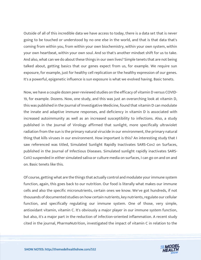Outside of all of this incredible data we have access to today, there is a data set that is never going to be touched or understood by no one else in the world, and that is that data that's coming from within you, from within your own biochemistry, within your own system, within your own heartbeat, within your own soul. And so that's another mindset shift for us to take. And also, what can we do about these things in our own lives? Simple tenets that are not being talked about, getting basics that our genes expect from us, for example. We require sun exposure, for example, just for healthy cell replication or the healthy expression of our genes. It's a powerful, epigenetic influence is sun exposure is what we evolved having. Basic tenets.

Now, we have a couple dozen peer-reviewed studies on the efficacy of vitamin D versus COVID-19, for example. Dozens. Now, one study, and this was just an overarching look at vitamin D, this was published in the Journal of Investigative Medicine, found that vitamin D can modulate the innate and adaptive immune responses, and deficiency in vitamin D is associated with increased autoimmunity as well as an increased susceptibility to infections. Also, a study published in the Journal of Virology affirmed that sunlight, more specifically ultraviolet radiation from the sun is the primary natural virucide in our environment, the primary natural thing that kills viruses in our environment. How important is this? An interesting study that I saw referenced was titled, Simulated Sunlight Rapidly Inactivates SARS-Cov2 on Surfaces, published in the Journal of Infectious Diseases. Simulated sunlight rapidly inactivates SARS-CoV2 suspended in either simulated saliva or culture media on surfaces, I can go on and on and on. Basic tenets like this.

Of course, getting what are the things that actually control and modulate your immune system function, again, this goes back to our nutrition. Our food is literally what makes our immune cells and also the specific micronutrients, certain ones we know. We've got hundreds, if not thousands of documented studies on how certain nutrients, key nutrients, regulate our cellular function, and specifically regulating our immune system. One of those, very simple, antioxidant vitamin, vitamin C. It's obviously a major player in our immune system function, but also, it's a major part in the reduction of infection-oriented inflammation. A recent study cited in the journal, PharmaNutrition, investigated the impact of vitamin C in relation to the

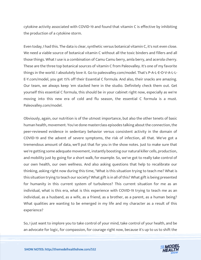cytokine activity associated with COVID-19 and found that vitamin C is effective by inhibiting the production of a cytokine storm.

Even today, I had this. The data is clear, synthetic versus botanical vitamin C, it's not even close. We need a viable source of botanical vitamin C without all the toxic binders and fillers and all those things. What I use is a combination of Camu Camu berry, amla berry, and acerola cherry. These are the three top botanical sources of vitamin C from Paleovalley. It's one of my favorite things in the world. I absolutely love it. Go to paleovalley.com/model. That's P-A-L-E-O-V-A-L-L-E-Y.com/model, you get 15% off their Essential C formula. And also, their snacks are amazing. Our team, we always keep 'em stacked here in the studio. Definitely check them out. Get yourself this essential C formula, this should be in your cabinet right now, especially as we're moving into this new era of cold and flu season, the essential C formula is a must. Paleovalley.com/model.

Obviously, again, our nutrition is of the utmost importance, but also the other tenets of basic human health, movement. You've done masterclass episodes talking about the connection, the peer-reviewed evidence in sedentary behavior versus consistent activity in the domain of COVID-19 and the advent of severe symptoms, the risk of infection, all that. We've got a tremendous amount of data, we'll put that for you in the show notes. Just to make sure that we're getting some adequate movement, instantly boosting our natural killer cells, production, and mobility just by going for a short walk, for example. So, we've got to really take control of our own health, our own wellness. And also asking questions that help to recalibrate our thinking, asking right now during this time, "What is this situation trying to teach me? What is this situation trying to teach our society? What gift is in all of this? What gift is being presented for humanity in this current system of turbulence? This current situation for me as an individual, what is this era, what is this experience with COVID-19 trying to teach me as an individual, as a husband, as a wife, as a friend, as a brother, as a parent, as a human being? What qualities are wanting to be emerged in my life and my character as a result of this experience?

So, I just want to implore you to take control of your mind, take control of your health, and be an advocate for logic, for compassion, for courage right now, because it's up to us to shift the